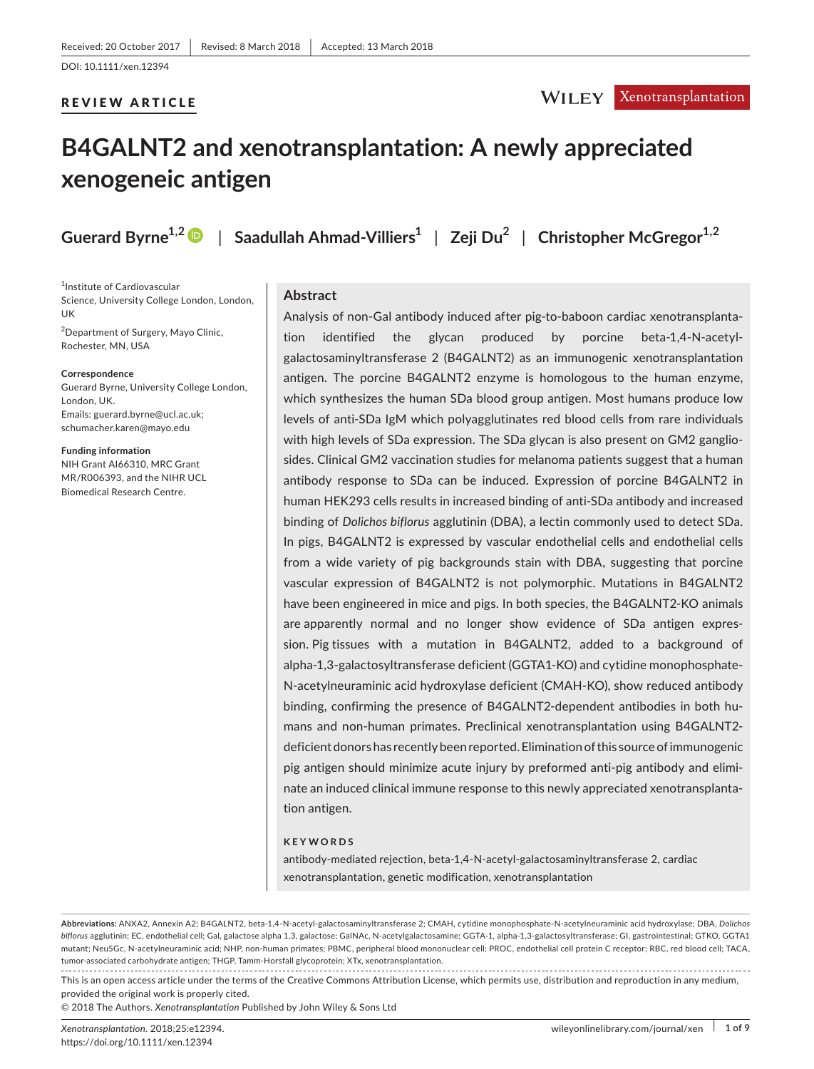#### REVIEW ARTICLE

## **WILEY** *Xenotransplantation*

# **B4GALNT2 and xenotransplantation: A newly appreciated xenogeneic antigen**

**Guerard Byrne1,[2](http://orcid.org/0000-0003-1897-1289)** | **Saadullah Ahmad-Villiers<sup>1</sup>** | **Zeji Du<sup>2</sup>** | **Christopher McGregor1,2**

1 Institute of Cardiovascular Science, University College London, London, UK

2 Department of Surgery, Mayo Clinic, Rochester, MN, USA

#### **Correspondence**

Guerard Byrne, University College London, London, UK. Emails: [guerard.byrne@ucl.ac.uk](mailto:guerard.byrne@ucl.ac.uk); [schumacher.karen@mayo.edu](mailto:schumacher.karen@mayo.edu)

**Funding information** NIH Grant AI66310, MRC Grant MR/R006393, and the NIHR UCL Biomedical Research Centre.

## **Abstract**

Analysis of non-Gal antibody induced after pig-to-baboon cardiac xenotransplantation identified the glycan produced by porcine beta-1,4-N-acetylgalactosaminyltransferase 2 (B4GALNT2) as an immunogenic xenotransplantation antigen. The porcine B4GALNT2 enzyme is homologous to the human enzyme, which synthesizes the human SDa blood group antigen. Most humans produce low levels of anti-SDa IgM which polyagglutinates red blood cells from rare individuals with high levels of SDa expression. The SDa glycan is also present on GM2 gangliosides. Clinical GM2 vaccination studies for melanoma patients suggest that a human antibody response to SDa can be induced. Expression of porcine B4GALNT2 in human HEK293 cells results in increased binding of anti-SDa antibody and increased binding of *Dolichos biflorus* agglutinin (DBA), a lectin commonly used to detect SDa. In pigs, B4GALNT2 is expressed by vascular endothelial cells and endothelial cells from a wide variety of pig backgrounds stain with DBA, suggesting that porcine vascular expression of B4GALNT2 is not polymorphic. Mutations in B4GALNT2 have been engineered in mice and pigs. In both species, the B4GALNT2-KO animals are apparently normal and no longer show evidence of SDa antigen expression. Pig tissues with a mutation in B4GALNT2, added to a background of alpha-1,3-galactosyltransferase deficient (GGTA1-KO) and cytidine monophosphate-N-acetylneuraminic acid hydroxylase deficient (CMAH-KO), show reduced antibody binding, confirming the presence of B4GALNT2-dependent antibodies in both humans and non-human primates. Preclinical xenotransplantation using B4GALNT2 deficient donors has recently been reported. Elimination of this source of immunogenic pig antigen should minimize acute injury by preformed anti-pig antibody and eliminate an induced clinical immune response to this newly appreciated xenotransplantation antigen.

#### **KEYWORDS**

antibody-mediated rejection, beta-1,4-N-acetyl-galactosaminyltransferase 2, cardiac xenotransplantation, genetic modification, xenotransplantation

**Abbreviations:** ANXA2, Annexin A2; B4GALNT2, beta-1,4-N-acetyl-galactosaminyltransferase 2; CMAH, cytidine monophosphate-N-acetylneuraminic acid hydroxylase; DBA, *Dolichos biflorus* agglutinin; EC, endothelial cell; Gal, galactose alpha 1,3, galactose; GalNAc, N-acetylgalactosamine; GGTA-1, alpha-1,3-galactosyltransferase; GI, gastrointestinal; GTKO, GGTA1 mutant; Neu5Gc, N-acetylneuraminic acid; NHP, non-human primates; PBMC, peripheral blood mononuclear cell; PROC, endothelial cell protein C receptor; RBC, red blood cell; TACA, tumor-associated carbohydrate antigen; THGP, Tamm-Horsfall glycoprotein; XTx, xenotransplantation.

This is an open access article under the terms of the Creative Commons [Attribution](http://creativecommons.org/licenses/by/4.0/) License, which permits use, distribution and reproduction in any medium, provided the original work is properly cited.

© 2018 The Authors. *Xenotransplantation* Published by John Wiley & Sons Ltd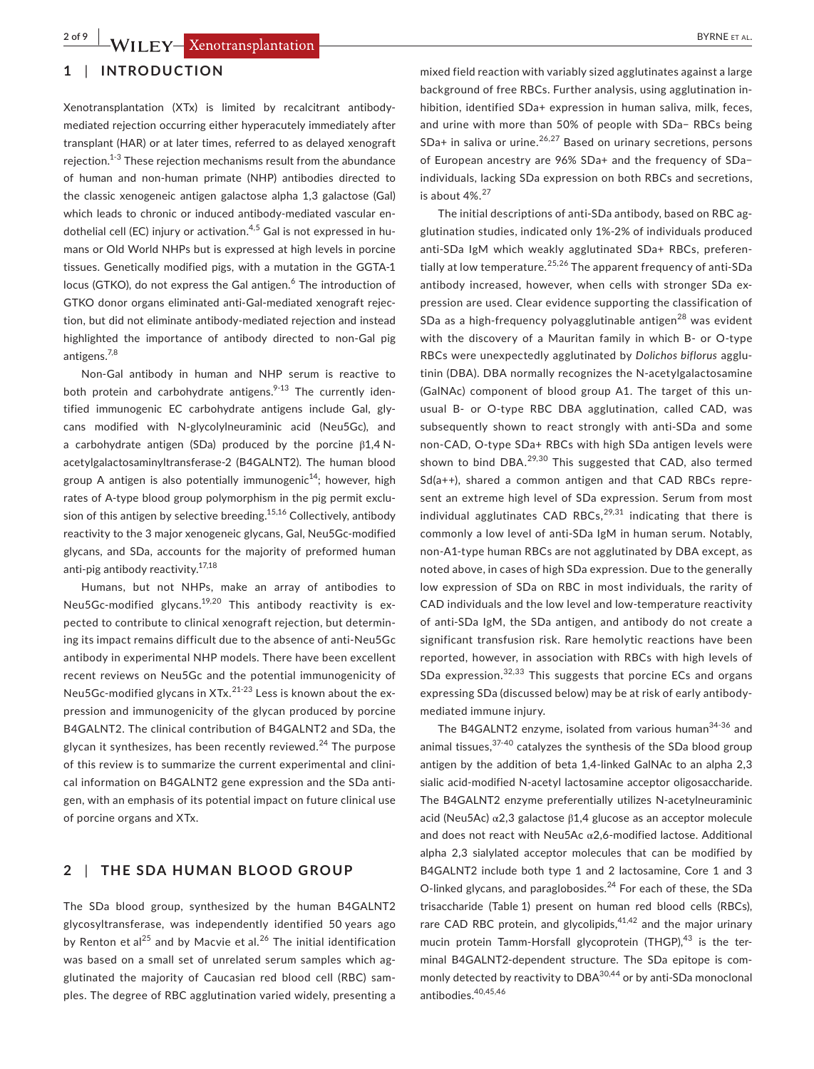### **1** | **INTRODUCTION**

Xenotransplantation (XTx) is limited by recalcitrant antibodymediated rejection occurring either hyperacutely immediately after transplant (HAR) or at later times, referred to as delayed xenograft rejection.1-3 These rejection mechanisms result from the abundance of human and non-human primate (NHP) antibodies directed to the classic xenogeneic antigen galactose alpha 1,3 galactose (Gal) which leads to chronic or induced antibody-mediated vascular endothelial cell (EC) injury or activation.<sup>4,5</sup> Gal is not expressed in humans or Old World NHPs but is expressed at high levels in porcine tissues. Genetically modified pigs, with a mutation in the GGTA-1 locus (GTKO), do not express the Gal antigen.<sup>6</sup> The introduction of GTKO donor organs eliminated anti-Gal-mediated xenograft rejection, but did not eliminate antibody-mediated rejection and instead highlighted the importance of antibody directed to non-Gal pig antigens.7,8

Non-Gal antibody in human and NHP serum is reactive to both protein and carbohydrate antigens.<sup>9-13</sup> The currently identified immunogenic EC carbohydrate antigens include Gal, glycans modified with N-glycolylneuraminic acid (Neu5Gc), and a carbohydrate antigen (SDa) produced by the porcine β1,4 Nacetylgalactosaminyltransferase-2 (B4GALNT2). The human blood group A antigen is also potentially immunogenic<sup>14</sup>; however, high rates of A-type blood group polymorphism in the pig permit exclusion of this antigen by selective breeding.<sup>15,16</sup> Collectively, antibody reactivity to the 3 major xenogeneic glycans, Gal, Neu5Gc-modified glycans, and SDa, accounts for the majority of preformed human anti-pig antibody reactivity.17,18

Humans, but not NHPs, make an array of antibodies to Neu5Gc-modified glycans.<sup>19,20</sup> This antibody reactivity is expected to contribute to clinical xenograft rejection, but determining its impact remains difficult due to the absence of anti-Neu5Gc antibody in experimental NHP models. There have been excellent recent reviews on Neu5Gc and the potential immunogenicity of Neu5Gc-modified glycans in  $XTx.<sup>21-23</sup>$  Less is known about the expression and immunogenicity of the glycan produced by porcine B4GALNT2. The clinical contribution of B4GALNT2 and SDa, the glycan it synthesizes, has been recently reviewed. $^{24}$  The purpose of this review is to summarize the current experimental and clinical information on B4GALNT2 gene expression and the SDa antigen, with an emphasis of its potential impact on future clinical use of porcine organs and XTx.

## **2** | **THE SDA HUMAN BLOOD GROUP**

The SDa blood group, synthesized by the human B4GALNT2 glycosyltransferase, was independently identified 50 years ago by Renton et al<sup>25</sup> and by Macvie et al.<sup>26</sup> The initial identification was based on a small set of unrelated serum samples which agglutinated the majority of Caucasian red blood cell (RBC) samples. The degree of RBC agglutination varied widely, presenting a

mixed field reaction with variably sized agglutinates against a large background of free RBCs. Further analysis, using agglutination inhibition, identified SDa+ expression in human saliva, milk, feces, and urine with more than 50% of people with SDa− RBCs being  $SDa+$  in saliva or urine.<sup>26,27</sup> Based on urinary secretions, persons of European ancestry are 96% SDa+ and the frequency of SDa− individuals, lacking SDa expression on both RBCs and secretions, is about  $4\%$ <sup>27</sup>

The initial descriptions of anti-SDa antibody, based on RBC agglutination studies, indicated only 1%-2% of individuals produced anti-SDa IgM which weakly agglutinated SDa+ RBCs, preferentially at low temperature.<sup>25,26</sup> The apparent frequency of anti-SDa antibody increased, however, when cells with stronger SDa expression are used. Clear evidence supporting the classification of SDa as a high-frequency polyagglutinable antigen<sup>28</sup> was evident with the discovery of a Mauritan family in which B- or O-type RBCs were unexpectedly agglutinated by *Dolichos biflorus* agglutinin (DBA). DBA normally recognizes the N-acetylgalactosamine (GalNAc) component of blood group A1. The target of this unusual B- or O-type RBC DBA agglutination, called CAD, was subsequently shown to react strongly with anti-SDa and some non-CAD, O-type SDa+ RBCs with high SDa antigen levels were shown to bind DBA. $^{29,30}$  This suggested that CAD, also termed Sd(a++), shared a common antigen and that CAD RBCs represent an extreme high level of SDa expression. Serum from most individual agglutinates CAD RBCs, $29,31$  indicating that there is commonly a low level of anti-SDa IgM in human serum. Notably, non-A1-type human RBCs are not agglutinated by DBA except, as noted above, in cases of high SDa expression. Due to the generally low expression of SDa on RBC in most individuals, the rarity of CAD individuals and the low level and low-temperature reactivity of anti-SDa IgM, the SDa antigen, and antibody do not create a significant transfusion risk. Rare hemolytic reactions have been reported, however, in association with RBCs with high levels of SDa expression. $32,33$  This suggests that porcine ECs and organs expressing SDa (discussed below) may be at risk of early antibodymediated immune injury.

The B4GALNT2 enzyme, isolated from various human<sup>34-36</sup> and animal tissues,  $37-40$  catalyzes the synthesis of the SDa blood group antigen by the addition of beta 1,4-linked GalNAc to an alpha 2,3 sialic acid-modified N-acetyl lactosamine acceptor oligosaccharide. The B4GALNT2 enzyme preferentially utilizes N-acetylneuraminic acid (Neu5Ac) α2,3 galactose β1,4 glucose as an acceptor molecule and does not react with Neu5Ac α2,6-modified lactose. Additional alpha 2,3 sialylated acceptor molecules that can be modified by B4GALNT2 include both type 1 and 2 lactosamine, Core 1 and 3 O-linked glycans, and paraglobosides.<sup>24</sup> For each of these, the SDa trisaccharide (Table 1) present on human red blood cells (RBCs), rare CAD RBC protein, and glycolipids, $41,42$  and the major urinary mucin protein Tamm-Horsfall glycoprotein (THGP), $43$  is the terminal B4GALNT2-dependent structure. The SDa epitope is commonly detected by reactivity to DBA<sup>30,44</sup> or by anti-SDa monoclonal antibodies.<sup>40,45,46</sup>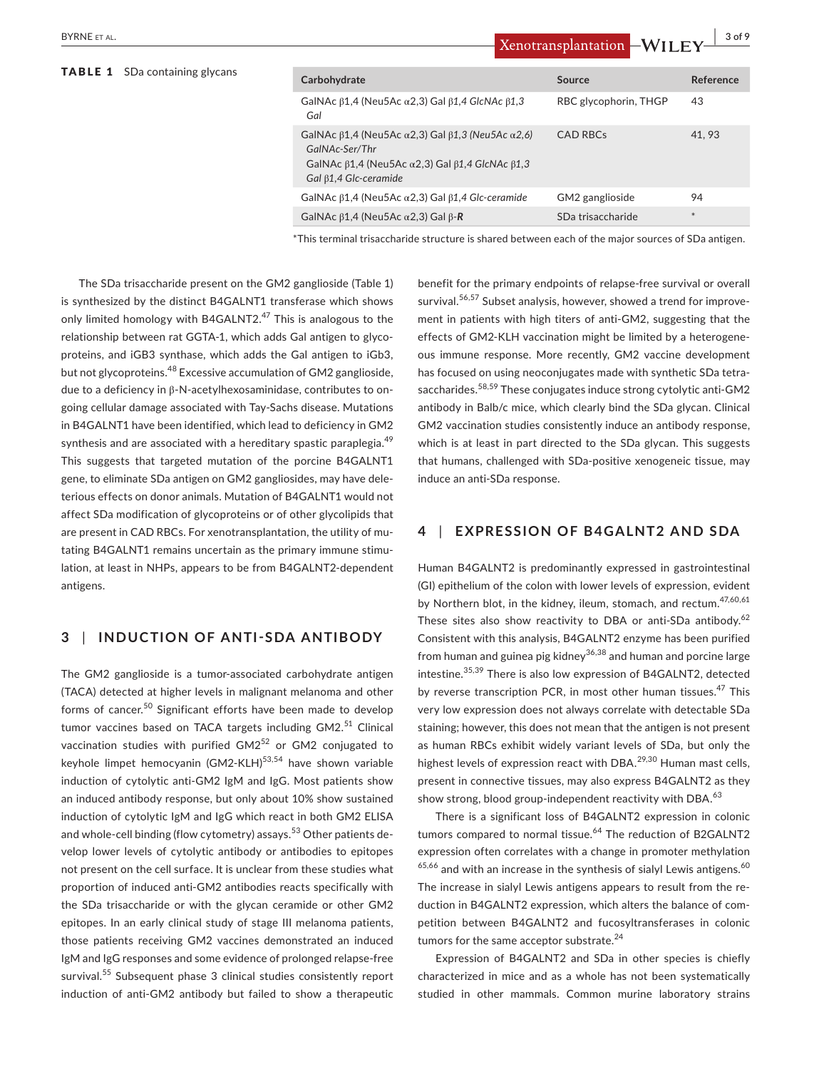| Carbohydrate                                                                                                                                                                                                    | Source                | Reference |
|-----------------------------------------------------------------------------------------------------------------------------------------------------------------------------------------------------------------|-----------------------|-----------|
| GalNAc $\beta$ 1,4 (Neu5Ac $\alpha$ 2,3) Gal $\beta$ 1,4 GlcNAc $\beta$ 1,3<br>Gal                                                                                                                              | RBC glycophorin, THGP | 43        |
| GalNAc $\beta$ 1,4 (Neu5Ac $\alpha$ 2,3) Gal $\beta$ 1,3 (Neu5Ac $\alpha$ 2,6)<br>GalNAc-Ser/Thr<br>GalNAc $\beta$ 1,4 (Neu5Ac $\alpha$ 2,3) Gal $\beta$ 1,4 GlcNAc $\beta$ 1,3<br>Gal $\beta$ 1,4 Glc-ceramide | <b>CAD RBCs</b>       | 41.93     |
| GalNAc $\beta$ 1,4 (Neu5Ac $\alpha$ 2,3) Gal $\beta$ 1,4 Glc-ceramide                                                                                                                                           | GM2 ganglioside       | 94        |
| GalNAc $\beta$ 1,4 (Neu5Ac $\alpha$ 2,3) Gal $\beta$ -R                                                                                                                                                         | SDa trisaccharide     | $*$       |
|                                                                                                                                                                                                                 |                       |           |

\*This terminal trisaccharide structure is shared between each of the major sources of SDa antigen.

The SDa trisaccharide present on the GM2 ganglioside (Table 1) is synthesized by the distinct B4GALNT1 transferase which shows only limited homology with B4GALNT2. $47$  This is analogous to the relationship between rat GGTA-1, which adds Gal antigen to glycoproteins, and iGB3 synthase, which adds the Gal antigen to iGb3, but not glycoproteins.<sup>48</sup> Excessive accumulation of GM2 ganglioside, due to a deficiency in β-N-acetylhexosaminidase, contributes to ongoing cellular damage associated with Tay-Sachs disease. Mutations in B4GALNT1 have been identified, which lead to deficiency in GM2 synthesis and are associated with a hereditary spastic paraplegia.<sup>49</sup> This suggests that targeted mutation of the porcine B4GALNT1 gene, to eliminate SDa antigen on GM2 gangliosides, may have deleterious effects on donor animals. Mutation of B4GALNT1 would not affect SDa modification of glycoproteins or of other glycolipids that are present in CAD RBCs. For xenotransplantation, the utility of mutating B4GALNT1 remains uncertain as the primary immune stimulation, at least in NHPs, appears to be from B4GALNT2-dependent antigens.

## **3** | **INDUCTION OF ANTI-SDA ANTIBODY**

The GM2 ganglioside is a tumor-associated carbohydrate antigen (TACA) detected at higher levels in malignant melanoma and other forms of cancer.<sup>50</sup> Significant efforts have been made to develop tumor vaccines based on TACA targets including GM2.<sup>51</sup> Clinical vaccination studies with purified  $GM2^{52}$  or GM2 conjugated to keyhole limpet hemocyanin  $(GM2-KLH)^{53,54}$  have shown variable induction of cytolytic anti-GM2 IgM and IgG. Most patients show an induced antibody response, but only about 10% show sustained induction of cytolytic IgM and IgG which react in both GM2 ELISA and whole-cell binding (flow cytometry) assays.<sup>53</sup> Other patients develop lower levels of cytolytic antibody or antibodies to epitopes not present on the cell surface. It is unclear from these studies what proportion of induced anti-GM2 antibodies reacts specifically with the SDa trisaccharide or with the glycan ceramide or other GM2 epitopes. In an early clinical study of stage III melanoma patients, those patients receiving GM2 vaccines demonstrated an induced IgM and IgG responses and some evidence of prolonged relapse-free survival.<sup>55</sup> Subsequent phase 3 clinical studies consistently report induction of anti-GM2 antibody but failed to show a therapeutic benefit for the primary endpoints of relapse-free survival or overall survival.<sup>56,57</sup> Subset analysis, however, showed a trend for improvement in patients with high titers of anti-GM2, suggesting that the effects of GM2-KLH vaccination might be limited by a heterogeneous immune response. More recently, GM2 vaccine development has focused on using neoconjugates made with synthetic SDa tetrasaccharides.58,59 These conjugates induce strong cytolytic anti-GM2 antibody in Balb/c mice, which clearly bind the SDa glycan. Clinical GM2 vaccination studies consistently induce an antibody response, which is at least in part directed to the SDa glycan. This suggests that humans, challenged with SDa-positive xenogeneic tissue, may induce an anti-SDa response.

#### **4** | **EXPRESSION OF B4GALNT2 AND SDA**

Human B4GALNT2 is predominantly expressed in gastrointestinal (GI) epithelium of the colon with lower levels of expression, evident by Northern blot, in the kidney, ileum, stomach, and rectum.<sup>47,60,61</sup> These sites also show reactivity to DBA or anti-SDa antibody.<sup>62</sup> Consistent with this analysis, B4GALNT2 enzyme has been purified from human and guinea pig kidney $36,38$  and human and porcine large intestine.35,39 There is also low expression of B4GALNT2, detected by reverse transcription PCR, in most other human tissues.<sup>47</sup> This very low expression does not always correlate with detectable SDa staining; however, this does not mean that the antigen is not present as human RBCs exhibit widely variant levels of SDa, but only the highest levels of expression react with DBA.<sup>29,30</sup> Human mast cells, present in connective tissues, may also express B4GALNT2 as they show strong, blood group-independent reactivity with DBA.<sup>63</sup>

There is a significant loss of B4GALNT2 expression in colonic tumors compared to normal tissue.<sup>64</sup> The reduction of B2GALNT2 expression often correlates with a change in promoter methylation  $65,66$  and with an increase in the synthesis of sialyl Lewis antigens.  $60$ The increase in sialyl Lewis antigens appears to result from the reduction in B4GALNT2 expression, which alters the balance of competition between B4GALNT2 and fucosyltransferases in colonic tumors for the same acceptor substrate.<sup>24</sup>

Expression of B4GALNT2 and SDa in other species is chiefly characterized in mice and as a whole has not been systematically studied in other mammals. Common murine laboratory strains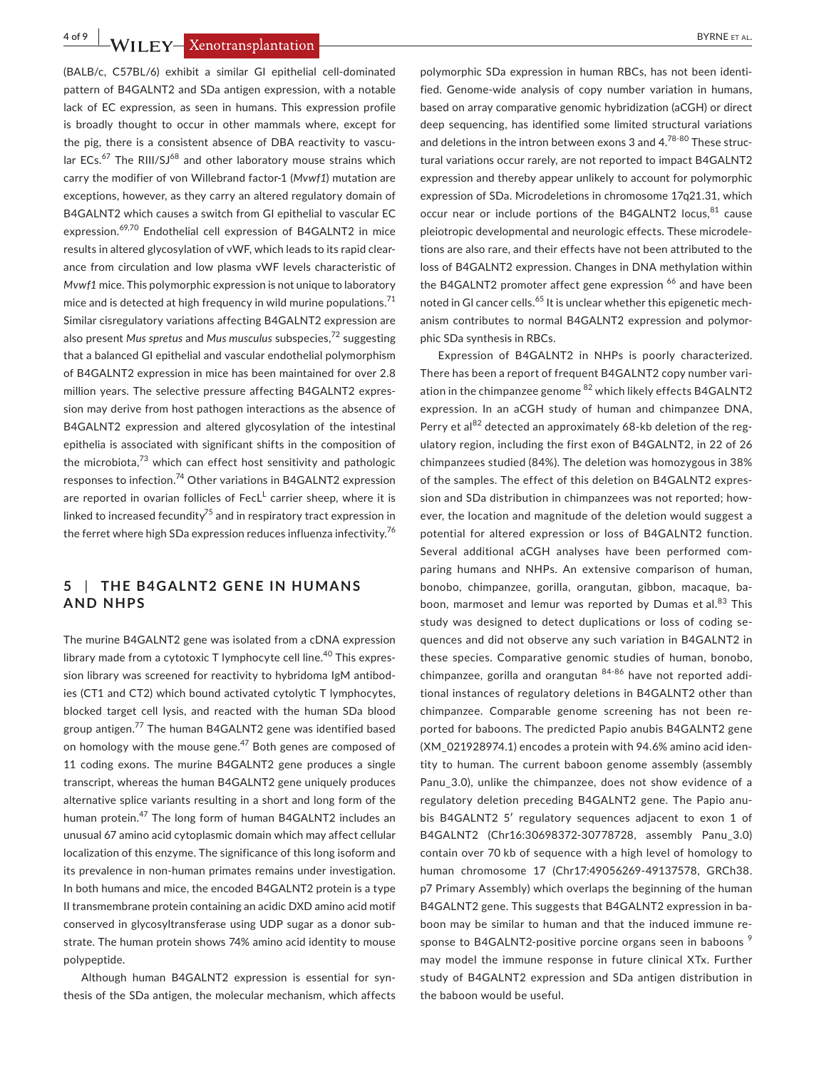**4 of 9 • WILEY EXECUTE SECONDE ET AL. BYRNE ET AL. BYRNE ET AL.** 

(BALB/c, C57BL/6) exhibit a similar GI epithelial cell-dominated pattern of B4GALNT2 and SDa antigen expression, with a notable lack of EC expression, as seen in humans. This expression profile is broadly thought to occur in other mammals where, except for the pig, there is a consistent absence of DBA reactivity to vascular  $ECs.<sup>67</sup>$  The RIII/SJ<sup>68</sup> and other laboratory mouse strains which carry the modifier of von Willebrand factor-1 (*Mvwf1*) mutation are exceptions, however, as they carry an altered regulatory domain of B4GALNT2 which causes a switch from GI epithelial to vascular EC expression.<sup>69,70</sup> Endothelial cell expression of B4GALNT2 in mice results in altered glycosylation of vWF, which leads to its rapid clearance from circulation and low plasma vWF levels characteristic of *Mvwf1* mice. This polymorphic expression is not unique to laboratory mice and is detected at high frequency in wild murine populations. $71$ Similar cisregulatory variations affecting B4GALNT2 expression are also present *Mus spretus* and *Mus musculus* subspecies,72 suggesting that a balanced GI epithelial and vascular endothelial polymorphism of B4GALNT2 expression in mice has been maintained for over 2.8 million years. The selective pressure affecting B4GALNT2 expression may derive from host pathogen interactions as the absence of B4GALNT2 expression and altered glycosylation of the intestinal epithelia is associated with significant shifts in the composition of the microbiota, $73$  which can effect host sensitivity and pathologic responses to infection.<sup>74</sup> Other variations in B4GALNT2 expression are reported in ovarian follicles of  $\text{F}$ ecL<sup>L</sup> carrier sheep, where it is linked to increased fecundity<sup>75</sup> and in respiratory tract expression in the ferret where high SDa expression reduces influenza infectivity.<sup>76</sup>

## **5** | **THE B4GALNT2 GENE IN HUMANS AND NHPS**

The murine B4GALNT2 gene was isolated from a cDNA expression library made from a cytotoxic T lymphocyte cell line. $40$  This expression library was screened for reactivity to hybridoma IgM antibodies (CT1 and CT2) which bound activated cytolytic T lymphocytes, blocked target cell lysis, and reacted with the human SDa blood group antigen.<sup>77</sup> The human B4GALNT2 gene was identified based on homology with the mouse gene.<sup>47</sup> Both genes are composed of 11 coding exons. The murine B4GALNT2 gene produces a single transcript, whereas the human B4GALNT2 gene uniquely produces alternative splice variants resulting in a short and long form of the human protein.<sup>47</sup> The long form of human B4GALNT2 includes an unusual 67 amino acid cytoplasmic domain which may affect cellular localization of this enzyme. The significance of this long isoform and its prevalence in non-human primates remains under investigation. In both humans and mice, the encoded B4GALNT2 protein is a type II transmembrane protein containing an acidic DXD amino acid motif conserved in glycosyltransferase using UDP sugar as a donor substrate. The human protein shows 74% amino acid identity to mouse polypeptide.

Although human B4GALNT2 expression is essential for synthesis of the SDa antigen, the molecular mechanism, which affects polymorphic SDa expression in human RBCs, has not been identified. Genome-wide analysis of copy number variation in humans, based on array comparative genomic hybridization (aCGH) or direct deep sequencing, has identified some limited structural variations and deletions in the intron between exons 3 and  $4.^{78-80}$  These structural variations occur rarely, are not reported to impact B4GALNT2 expression and thereby appear unlikely to account for polymorphic expression of SDa. Microdeletions in chromosome 17q21.31, which occur near or include portions of the B4GALNT2 locus, $81$  cause pleiotropic developmental and neurologic effects. These microdeletions are also rare, and their effects have not been attributed to the loss of B4GALNT2 expression. Changes in DNA methylation within the B4GALNT2 promoter affect gene expression <sup>66</sup> and have been noted in GI cancer cells.<sup>65</sup> It is unclear whether this epigenetic mechanism contributes to normal B4GALNT2 expression and polymorphic SDa synthesis in RBCs.

Expression of B4GALNT2 in NHPs is poorly characterized. There has been a report of frequent B4GALNT2 copy number variation in the chimpanzee genome <sup>82</sup> which likely effects B4GALNT2 expression. In an aCGH study of human and chimpanzee DNA, Perry et al $^{82}$  detected an approximately 68-kb deletion of the regulatory region, including the first exon of B4GALNT2, in 22 of 26 chimpanzees studied (84%). The deletion was homozygous in 38% of the samples. The effect of this deletion on B4GALNT2 expression and SDa distribution in chimpanzees was not reported; however, the location and magnitude of the deletion would suggest a potential for altered expression or loss of B4GALNT2 function. Several additional aCGH analyses have been performed comparing humans and NHPs. An extensive comparison of human, bonobo, chimpanzee, gorilla, orangutan, gibbon, macaque, baboon, marmoset and lemur was reported by Dumas et al.<sup>83</sup> This study was designed to detect duplications or loss of coding sequences and did not observe any such variation in B4GALNT2 in these species. Comparative genomic studies of human, bonobo, chimpanzee, gorilla and orangutan 84-86 have not reported additional instances of regulatory deletions in B4GALNT2 other than chimpanzee. Comparable genome screening has not been reported for baboons. The predicted Papio anubis B4GALNT2 gene (XM\_021928974.1) encodes a protein with 94.6% amino acid identity to human. The current baboon genome assembly (assembly Panu\_3.0), unlike the chimpanzee, does not show evidence of a regulatory deletion preceding B4GALNT2 gene. The Papio anubis B4GALNT2 5′ regulatory sequences adjacent to exon 1 of B4GALNT2 (Chr16:30698372-30778728, assembly Panu\_3.0) contain over 70 kb of sequence with a high level of homology to human chromosome 17 (Chr17:49056269-49137578, GRCh38. p7 Primary Assembly) which overlaps the beginning of the human B4GALNT2 gene. This suggests that B4GALNT2 expression in baboon may be similar to human and that the induced immune response to B4GALNT2-positive porcine organs seen in baboons<sup>9</sup> may model the immune response in future clinical XTx. Further study of B4GALNT2 expression and SDa antigen distribution in the baboon would be useful.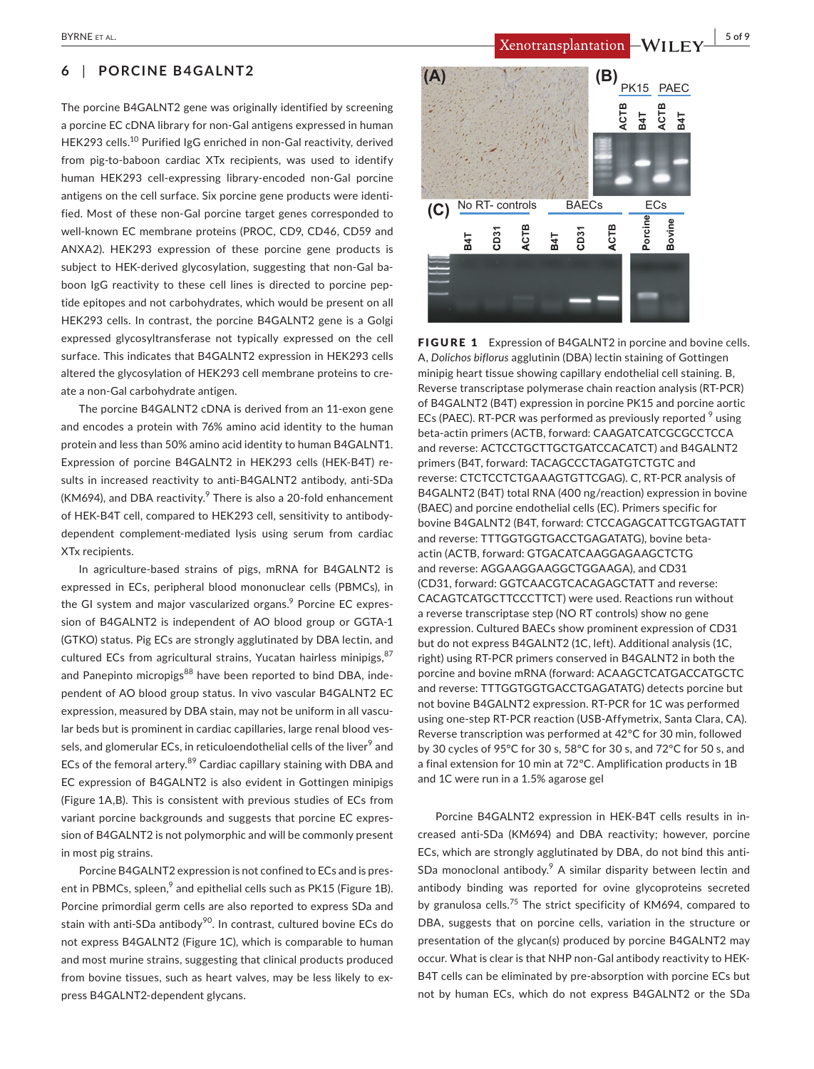## **6** | **PORCINE B4GALNT2**

The porcine B4GALNT2 gene was originally identified by screening a porcine EC cDNA library for non-Gal antigens expressed in human HEK293 cells.<sup>10</sup> Purified IgG enriched in non-Gal reactivity, derived from pig-to-baboon cardiac XTx recipients, was used to identify human HEK293 cell-expressing library-encoded non-Gal porcine antigens on the cell surface. Six porcine gene products were identified. Most of these non-Gal porcine target genes corresponded to well-known EC membrane proteins (PROC, CD9, CD46, CD59 and ANXA2). HEK293 expression of these porcine gene products is subject to HEK-derived glycosylation, suggesting that non-Gal baboon IgG reactivity to these cell lines is directed to porcine peptide epitopes and not carbohydrates, which would be present on all HEK293 cells. In contrast, the porcine B4GALNT2 gene is a Golgi expressed glycosyltransferase not typically expressed on the cell surface. This indicates that B4GALNT2 expression in HEK293 cells altered the glycosylation of HEK293 cell membrane proteins to create a non-Gal carbohydrate antigen.

The porcine B4GALNT2 cDNA is derived from an 11-exon gene and encodes a protein with 76% amino acid identity to the human protein and less than 50% amino acid identity to human B4GALNT1. Expression of porcine B4GALNT2 in HEK293 cells (HEK-B4T) results in increased reactivity to anti-B4GALNT2 antibody, anti-SDa (KM694), and DBA reactivity. $9$  There is also a 20-fold enhancement of HEK-B4T cell, compared to HEK293 cell, sensitivity to antibodydependent complement-mediated lysis using serum from cardiac XTx recipients.

In agriculture-based strains of pigs, mRNA for B4GALNT2 is expressed in ECs, peripheral blood mononuclear cells (PBMCs), in the GI system and major vascularized organs.<sup>9</sup> Porcine EC expression of B4GALNT2 is independent of AO blood group or GGTA-1 (GTKO) status. Pig ECs are strongly agglutinated by DBA lectin, and cultured ECs from agricultural strains, Yucatan hairless minipigs, 87 and Panepinto micropigs<sup>88</sup> have been reported to bind DBA, independent of AO blood group status. In vivo vascular B4GALNT2 EC expression, measured by DBA stain, may not be uniform in all vascular beds but is prominent in cardiac capillaries, large renal blood vessels, and glomerular ECs, in reticuloendothelial cells of the liver<sup>9</sup> and ECs of the femoral artery.<sup>89</sup> Cardiac capillary staining with DBA and EC expression of B4GALNT2 is also evident in Gottingen minipigs (Figure 1A,B). This is consistent with previous studies of ECs from variant porcine backgrounds and suggests that porcine EC expression of B4GALNT2 is not polymorphic and will be commonly present in most pig strains.

Porcine B4GALNT2 expression is not confined to ECs and is present in PBMCs, spleen,<sup>9</sup> and epithelial cells such as PK15 (Figure 1B). Porcine primordial germ cells are also reported to express SDa and stain with anti-SDa antibody<sup>90</sup>. In contrast, cultured bovine ECs do not express B4GALNT2 (Figure 1C), which is comparable to human and most murine strains, suggesting that clinical products produced from bovine tissues, such as heart valves, may be less likely to express B4GALNT2-dependent glycans.

PK15 PAEC **ACTB B4T B4T ACTB (C) (A) (B) Porcine PBovine B**No RT- controls BAECs ECs **B4T B4 CD31 ACTB T BCD31 ACTB BCA**

FIGURE 1 Expression of B4GALNT2 in porcine and bovine cells. A, *Dolichos biflorus* agglutinin (DBA) lectin staining of Gottingen minipig heart tissue showing capillary endothelial cell staining. B, Reverse transcriptase polymerase chain reaction analysis (RT-PCR) of B4GALNT2 (B4T) expression in porcine PK15 and porcine aortic ECs (PAEC). RT-PCR was performed as previously reported <sup>9</sup> using beta-actin primers (ACTB, forward: CAAGATCATCGCGCCTCCA and reverse: ACTCCTGCTTGCTGATCCACATCT) and B4GALNT2 primers (B4T, forward: TACAGCCCTAGATGTCTGTC and reverse: CTCTCCTCTGAAAGTGTTCGAG). C, RT-PCR analysis of B4GALNT2 (B4T) total RNA (400 ng/reaction) expression in bovine (BAEC) and porcine endothelial cells (EC). Primers specific for bovine B4GALNT2 (B4T, forward: CTCCAGAGCATTCGTGAGTATT and reverse: TTTGGTGGTGACCTGAGATATG), bovine betaactin (ACTB, forward: GTGACATCAAGGAGAAGCTCTG and reverse: AGGAAGGAAGGCTGGAAGA), and CD31 (CD31, forward: GGTCAACGTCACAGAGCTATT and reverse: CACAGTCATGCTTCCCTTCT) were used. Reactions run without a reverse transcriptase step (NO RT controls) show no gene expression. Cultured BAECs show prominent expression of CD31 but do not express B4GALNT2 (1C, left). Additional analysis (1C, right) using RT-PCR primers conserved in B4GALNT2 in both the porcine and bovine mRNA (forward: ACAAGCTCATGACCATGCTC and reverse: TTTGGTGGTGACCTGAGATATG) detects porcine but not bovine B4GALNT2 expression. RT-PCR for 1C was performed using one-step RT-PCR reaction (USB-Affymetrix, Santa Clara, CA). Reverse transcription was performed at 42°C for 30 min, followed by 30 cycles of 95°C for 30 s, 58ºC for 30 s, and 72ºC for 50 s, and a final extension for 10 min at 72ºC. Amplification products in 1B and 1C were run in a 1.5% agarose gel

Porcine B4GALNT2 expression in HEK-B4T cells results in increased anti-SDa (KM694) and DBA reactivity; however, porcine ECs, which are strongly agglutinated by DBA, do not bind this anti-SDa monoclonal antibody. $9$  A similar disparity between lectin and antibody binding was reported for ovine glycoproteins secreted by granulosa cells.<sup>75</sup> The strict specificity of KM694, compared to DBA, suggests that on porcine cells, variation in the structure or presentation of the glycan(s) produced by porcine B4GALNT2 may occur. What is clear is that NHP non-Gal antibody reactivity to HEK-B4T cells can be eliminated by pre-absorption with porcine ECs but not by human ECs, which do not express B4GALNT2 or the SDa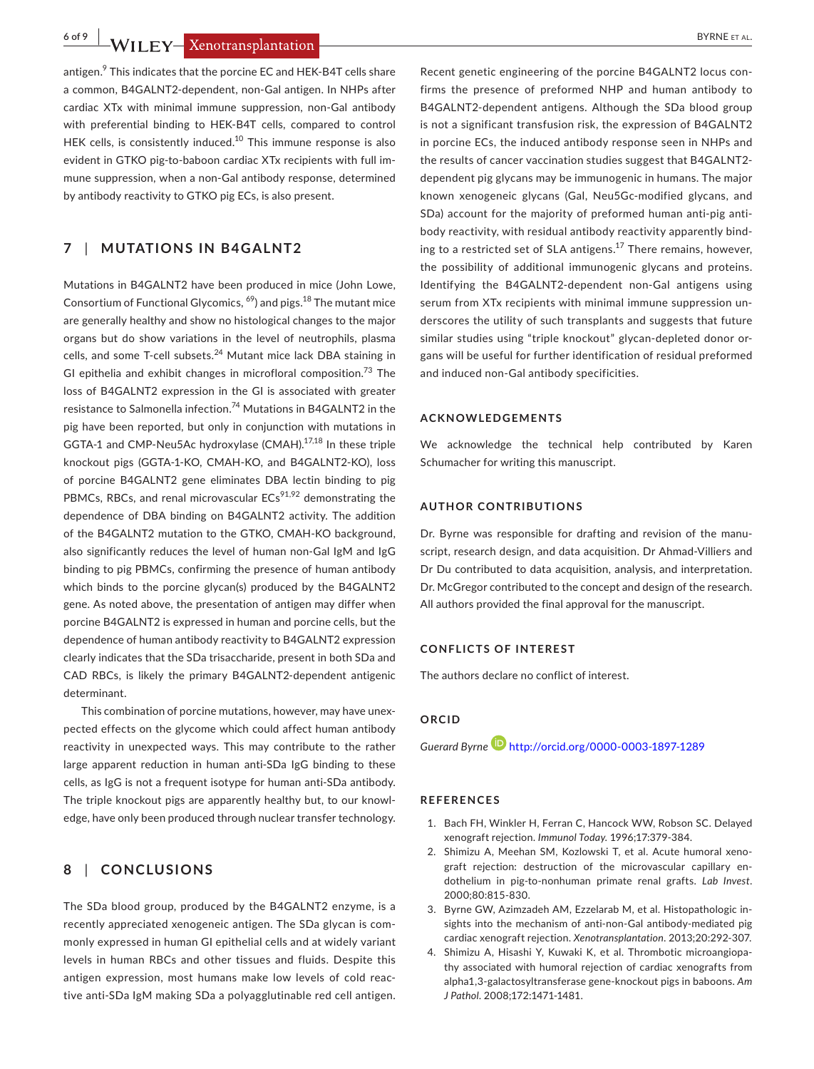**6 of 9 • WII FY-Xenotransplantation** 

antigen.<sup>9</sup> This indicates that the porcine EC and HEK-B4T cells share a common, B4GALNT2-dependent, non-Gal antigen. In NHPs after cardiac XTx with minimal immune suppression, non-Gal antibody with preferential binding to HEK-B4T cells, compared to control HEK cells, is consistently induced.<sup>10</sup> This immune response is also evident in GTKO pig-to-baboon cardiac XTx recipients with full immune suppression, when a non-Gal antibody response, determined by antibody reactivity to GTKO pig ECs, is also present.

## **7** | **MUTATIONS IN B4GALNT2**

Mutations in B4GALNT2 have been produced in mice (John Lowe, Consortium of Functional Glycomics,  $^{69}$ ) and pigs.<sup>18</sup> The mutant mice are generally healthy and show no histological changes to the major organs but do show variations in the level of neutrophils, plasma cells, and some T-cell subsets.<sup>24</sup> Mutant mice lack DBA staining in GI epithelia and exhibit changes in microfloral composition.<sup>73</sup> The loss of B4GALNT2 expression in the GI is associated with greater resistance to Salmonella infection.<sup>74</sup> Mutations in B4GALNT2 in the pig have been reported, but only in conjunction with mutations in GGTA-1 and CMP-Neu5Ac hydroxylase (CMAH).17,18 In these triple knockout pigs (GGTA-1-KO, CMAH-KO, and B4GALNT2-KO), loss of porcine B4GALNT2 gene eliminates DBA lectin binding to pig PBMCs, RBCs, and renal microvascular  $ECs^{91,92}$  demonstrating the dependence of DBA binding on B4GALNT2 activity. The addition of the B4GALNT2 mutation to the GTKO, CMAH-KO background, also significantly reduces the level of human non-Gal IgM and IgG binding to pig PBMCs, confirming the presence of human antibody which binds to the porcine glycan(s) produced by the B4GALNT2 gene. As noted above, the presentation of antigen may differ when porcine B4GALNT2 is expressed in human and porcine cells, but the dependence of human antibody reactivity to B4GALNT2 expression clearly indicates that the SDa trisaccharide, present in both SDa and CAD RBCs, is likely the primary B4GALNT2-dependent antigenic determinant.

This combination of porcine mutations, however, may have unexpected effects on the glycome which could affect human antibody reactivity in unexpected ways. This may contribute to the rather large apparent reduction in human anti-SDa IgG binding to these cells, as IgG is not a frequent isotype for human anti-SDa antibody. The triple knockout pigs are apparently healthy but, to our knowledge, have only been produced through nuclear transfer technology.

## **8** | **CONCLUSIONS**

The SDa blood group, produced by the B4GALNT2 enzyme, is a recently appreciated xenogeneic antigen. The SDa glycan is commonly expressed in human GI epithelial cells and at widely variant levels in human RBCs and other tissues and fluids. Despite this antigen expression, most humans make low levels of cold reactive anti-SDa IgM making SDa a polyagglutinable red cell antigen.

Recent genetic engineering of the porcine B4GALNT2 locus confirms the presence of preformed NHP and human antibody to B4GALNT2-dependent antigens. Although the SDa blood group is not a significant transfusion risk, the expression of B4GALNT2 in porcine ECs, the induced antibody response seen in NHPs and the results of cancer vaccination studies suggest that B4GALNT2 dependent pig glycans may be immunogenic in humans. The major known xenogeneic glycans (Gal, Neu5Gc-modified glycans, and SDa) account for the majority of preformed human anti-pig antibody reactivity, with residual antibody reactivity apparently binding to a restricted set of SLA antigens.<sup>17</sup> There remains, however, the possibility of additional immunogenic glycans and proteins. Identifying the B4GALNT2-dependent non-Gal antigens using serum from XTx recipients with minimal immune suppression underscores the utility of such transplants and suggests that future similar studies using "triple knockout" glycan-depleted donor organs will be useful for further identification of residual preformed and induced non-Gal antibody specificities.

#### **ACKNOWLEDGEMENTS**

We acknowledge the technical help contributed by Karen Schumacher for writing this manuscript.

#### **AUTHOR CONTRIBUTIONS**

Dr. Byrne was responsible for drafting and revision of the manuscript, research design, and data acquisition. Dr Ahmad-Villiers and Dr Du contributed to data acquisition, analysis, and interpretation. Dr. McGregor contributed to the concept and design of the research. All authors provided the final approval for the manuscript.

#### **CONFLICTS OF INTEREST**

The authors declare no conflict of interest.

#### **ORCID**

*Guerard Byrne* <http://orcid.org/0000-0003-1897-1289>

#### **REFERENCES**

- 1. Bach FH, Winkler H, Ferran C, Hancock WW, Robson SC. Delayed xenograft rejection. *Immunol Today*. 1996;17:379‐384.
- 2. Shimizu A, Meehan SM, Kozlowski T, et al. Acute humoral xenograft rejection: destruction of the microvascular capillary endothelium in pig-to-nonhuman primate renal grafts. *Lab Invest*. 2000;80:815‐830.
- 3. Byrne GW, Azimzadeh AM, Ezzelarab M, et al. Histopathologic insights into the mechanism of anti-non-Gal antibody-mediated pig cardiac xenograft rejection. *Xenotransplantation*. 2013;20:292‐307.
- 4. Shimizu A, Hisashi Y, Kuwaki K, et al. Thrombotic microangiopathy associated with humoral rejection of cardiac xenografts from alpha1,3-galactosyltransferase gene-knockout pigs in baboons. *Am J Pathol*. 2008;172:1471‐1481.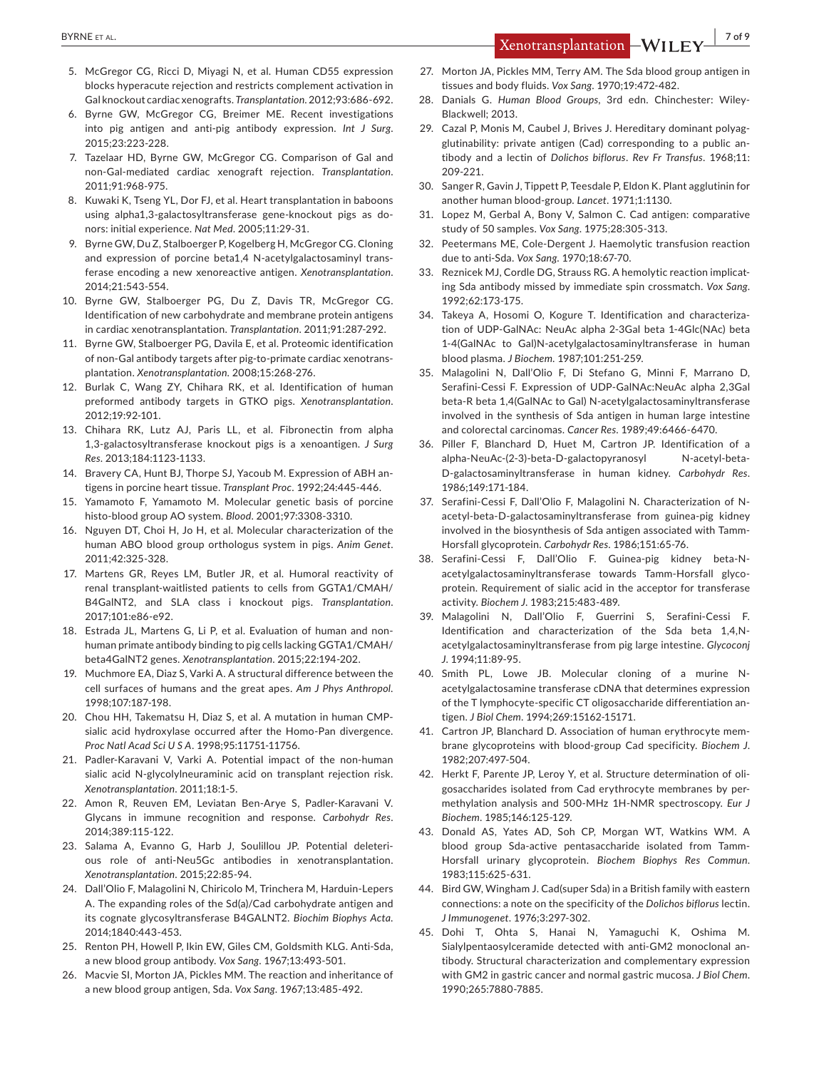- 5. McGregor CG, Ricci D, Miyagi N, et al. Human CD55 expression blocks hyperacute rejection and restricts complement activation in Gal knockout cardiac xenografts. *Transplantation*. 2012;93:686‐692.
- 6. Byrne GW, McGregor CG, Breimer ME. Recent investigations into pig antigen and anti-pig antibody expression. *Int J Surg*. 2015;23:223‐228.
- 7. Tazelaar HD, Byrne GW, McGregor CG, Comparison of Gal and non-Gal-mediated cardiac xenograft rejection. *Transplantation*. 2011;91:968‐975.
- 8. Kuwaki K, Tseng YL, Dor FJ, et al. Heart transplantation in baboons using alpha1,3-galactosyltransferase gene-knockout pigs as donors: initial experience. *Nat Med*. 2005;11:29‐31.
- 9. Byrne GW, Du Z, Stalboerger P, Kogelberg H, McGregor CG. Cloning and expression of porcine beta1,4 N-acetylgalactosaminyl transferase encoding a new xenoreactive antigen. *Xenotransplantation*. 2014;21:543‐554.
- 10. Byrne GW, Stalboerger PG, Du Z, Davis TR, McGregor CG. Identification of new carbohydrate and membrane protein antigens in cardiac xenotransplantation. *Transplantation*. 2011;91:287‐292.
- 11. Byrne GW, Stalboerger PG, Davila E, et al. Proteomic identification of non-Gal antibody targets after pig-to-primate cardiac xenotransplantation. *Xenotransplantation*. 2008;15:268‐276.
- 12. Burlak C, Wang ZY, Chihara RK, et al. Identification of human preformed antibody targets in GTKO pigs. *Xenotransplantation*. 2012;19:92‐101.
- 13. Chihara RK, Lutz AJ, Paris LL, et al. Fibronectin from alpha 1,3-galactosyltransferase knockout pigs is a xenoantigen. *J Surg Res*. 2013;184:1123‐1133.
- 14. Bravery CA, Hunt BJ, Thorpe SJ, Yacoub M. Expression of ABH antigens in porcine heart tissue. *Transplant Proc*. 1992;24:445‐446.
- 15. Yamamoto F, Yamamoto M. Molecular genetic basis of porcine histo-blood group AO system. *Blood*. 2001;97:3308‐3310.
- 16. Nguyen DT, Choi H, Jo H, et al. Molecular characterization of the human ABO blood group orthologus system in pigs. *Anim Genet*. 2011;42:325‐328.
- 17. Martens GR, Reyes LM, Butler JR, et al. Humoral reactivity of renal transplant-waitlisted patients to cells from GGTA1/CMAH/ B4GalNT2, and SLA class i knockout pigs. *Transplantation*. 2017;101:e86‐e92.
- 18. Estrada JL, Martens G, Li P, et al. Evaluation of human and nonhuman primate antibody binding to pig cells lacking GGTA1/CMAH/ beta4GalNT2 genes. *Xenotransplantation*. 2015;22:194‐202.
- 19. Muchmore EA, Diaz S, Varki A. A structural difference between the cell surfaces of humans and the great apes. *Am J Phys Anthropol*. 1998;107:187‐198.
- 20. Chou HH, Takematsu H, Diaz S, et al. A mutation in human CMPsialic acid hydroxylase occurred after the Homo-Pan divergence. *Proc Natl Acad Sci U S A*. 1998;95:11751‐11756.
- 21. Padler-Karavani V, Varki A. Potential impact of the non-human sialic acid N-glycolylneuraminic acid on transplant rejection risk. *Xenotransplantation*. 2011;18:1‐5.
- 22. Amon R, Reuven EM, Leviatan Ben-Arye S, Padler-Karavani V. Glycans in immune recognition and response. *Carbohydr Res*. 2014;389:115‐122.
- 23. Salama A, Evanno G, Harb J, Soulillou JP. Potential deleterious role of anti-Neu5Gc antibodies in xenotransplantation. *Xenotransplantation*. 2015;22:85‐94.
- 24. Dall'Olio F, Malagolini N, Chiricolo M, Trinchera M, Harduin-Lepers A. The expanding roles of the Sd(a)/Cad carbohydrate antigen and its cognate glycosyltransferase B4GALNT2. *Biochim Biophys Acta*. 2014;1840:443‐453.
- 25. Renton PH, Howell P, Ikin EW, Giles CM, Goldsmith KLG. Anti-Sda, a new blood group antibody. *Vox Sang*. 1967;13:493‐501.
- 26. Macvie SI, Morton JA, Pickles MM. The reaction and inheritance of a new blood group antigen, Sda. *Vox Sang*. 1967;13:485‐492.
- 27. Morton JA, Pickles MM, Terry AM, The Sda blood group antigen in tissues and body fluids. *Vox Sang*. 1970;19:472‐482.
- 28. Danials G. *Human Blood Groups*, 3rd edn. Chinchester: Wiley-Blackwell; 2013.
- 29. Cazal P, Monis M, Caubel J, Brives J, Hereditary dominant polyagglutinability: private antigen (Cad) corresponding to a public antibody and a lectin of *Dolichos biflorus*. *Rev Fr Transfus*. 1968;11: 209‐221.
- 30. Sanger R, Gavin J, Tippett P, Teesdale P, Eldon K. Plant agglutinin for another human blood-group. *Lancet*. 1971;1:1130.
- 31. Lopez M, Gerbal A, Bony V, Salmon C. Cad antigen: comparative study of 50 samples. *Vox Sang*. 1975;28:305‐313.
- 32. Peetermans ME, Cole-Dergent J. Haemolytic transfusion reaction due to anti-Sda. *Vox Sang*. 1970;18:67‐70.
- 33. Reznicek MJ, Cordle DG, Strauss RG. A hemolytic reaction implicating Sda antibody missed by immediate spin crossmatch. *Vox Sang*. 1992;62:173‐175.
- 34. Takeya A, Hosomi O, Kogure T. Identification and characterization of UDP-GalNAc: NeuAc alpha 2-3Gal beta 1-4Glc(NAc) beta 1-4(GalNAc to Gal)N-acetylgalactosaminyltransferase in human blood plasma. *J Biochem*. 1987;101:251‐259.
- 35. Malagolini N, Dall'Olio F, Di Stefano G, Minni F, Marrano D, Serafini-Cessi F. Expression of UDP-GalNAc:NeuAc alpha 2,3Gal beta-R beta 1,4(GalNAc to Gal) N-acetylgalactosaminyltransferase involved in the synthesis of Sda antigen in human large intestine and colorectal carcinomas. *Cancer Res*. 1989;49:6466‐6470.
- 36. Piller F, Blanchard D, Huet M, Cartron JP. Identification of a alpha-NeuAc-(2-3)-beta-D-galactopyranosyl N-acetyl-beta-D-galactosaminyltransferase in human kidney. *Carbohydr Res*. 1986;149:171‐184.
- 37. Serafini-Cessi F, Dall'Olio F, Malagolini N. Characterization of Nacetyl-beta-D-galactosaminyltransferase from guinea-pig kidney involved in the biosynthesis of Sda antigen associated with Tamm-Horsfall glycoprotein. *Carbohydr Res*. 1986;151:65‐76.
- 38. Serafini-Cessi F, Dall'Olio F. Guinea-pig kidney beta-Nacetylgalactosaminyltransferase towards Tamm-Horsfall glycoprotein. Requirement of sialic acid in the acceptor for transferase activity. *Biochem J*. 1983;215:483‐489.
- 39. Malagolini N, Dall'Olio F, Guerrini S, Serafini-Cessi F. Identification and characterization of the Sda beta 1,4,Nacetylgalactosaminyltransferase from pig large intestine. *Glycoconj J*. 1994;11:89‐95.
- 40. Smith PL, Lowe JB. Molecular cloning of a murine Nacetylgalactosamine transferase cDNA that determines expression of the T lymphocyte-specific CT oligosaccharide differentiation antigen. *J Biol Chem*. 1994;269:15162‐15171.
- 41. Cartron JP, Blanchard D. Association of human erythrocyte membrane glycoproteins with blood-group Cad specificity. *Biochem J*. 1982;207:497‐504.
- 42. Herkt F, Parente JP, Leroy Y, et al. Structure determination of oligosaccharides isolated from Cad erythrocyte membranes by permethylation analysis and 500-MHz 1H-NMR spectroscopy. *Eur J Biochem*. 1985;146:125‐129.
- 43. Donald AS, Yates AD, Soh CP, Morgan WT, Watkins WM. A blood group Sda-active pentasaccharide isolated from Tamm-Horsfall urinary glycoprotein. *Biochem Biophys Res Commun*. 1983;115:625‐631.
- 44. Bird GW, Wingham J. Cad(super Sda) in a British family with eastern connections: a note on the specificity of the *Dolichos biflorus* lectin. *J Immunogenet*. 1976;3:297‐302.
- 45. Dohi T, Ohta S, Hanai N, Yamaguchi K, Oshima M. Sialylpentaosylceramide detected with anti-GM2 monoclonal antibody. Structural characterization and complementary expression with GM2 in gastric cancer and normal gastric mucosa. *J Biol Chem*. 1990;265:7880‐7885.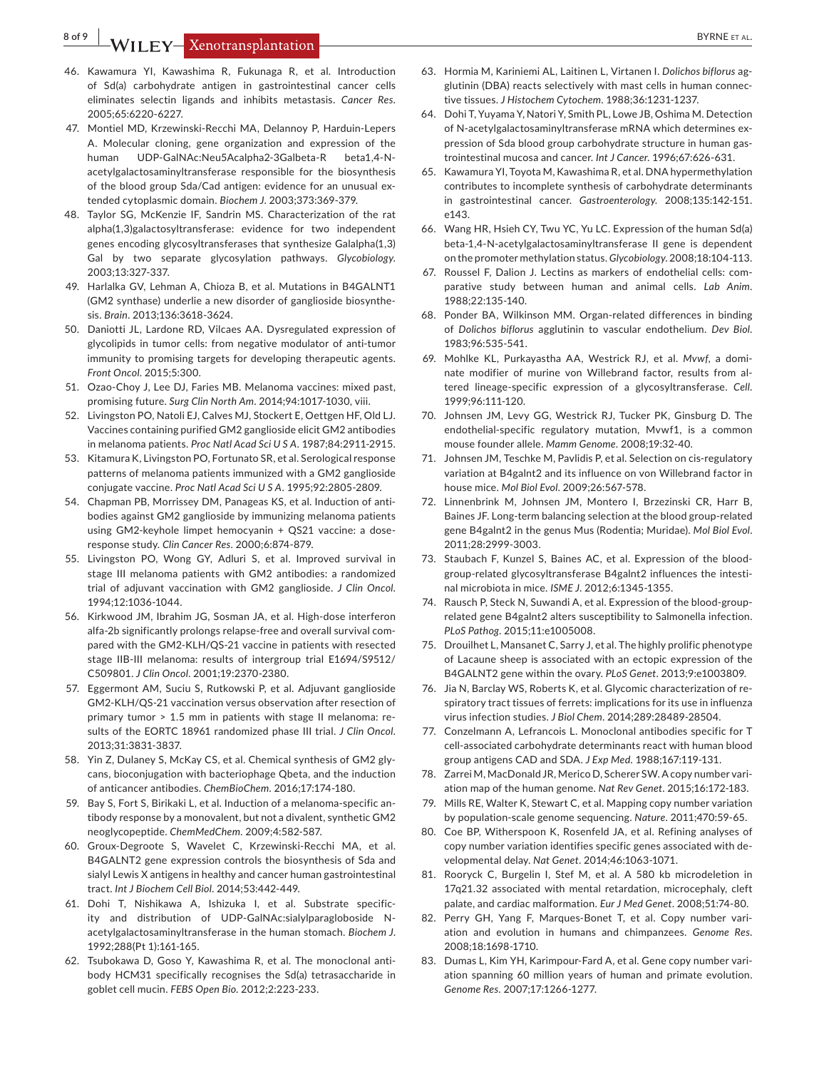**8 of 9 WILEY-Xenotransplantation** 

- 46. Kawamura YI, Kawashima R, Fukunaga R, et al. Introduction of Sd(a) carbohydrate antigen in gastrointestinal cancer cells eliminates selectin ligands and inhibits metastasis. *Cancer Res*. 2005;65:6220‐6227.
- 47. Montiel MD, Krzewinski-Recchi MA, Delannoy P, Harduin-Lepers A. Molecular cloning, gene organization and expression of the human UDP-GalNAc:Neu5Acalpha2-3Galbeta-R beta1,4-Nacetylgalactosaminyltransferase responsible for the biosynthesis of the blood group Sda/Cad antigen: evidence for an unusual extended cytoplasmic domain. *Biochem J*. 2003;373:369‐379.
- 48. Taylor SG, McKenzie IF, Sandrin MS. Characterization of the rat alpha(1,3)galactosyltransferase: evidence for two independent genes encoding glycosyltransferases that synthesize Galalpha(1,3) Gal by two separate glycosylation pathways. *Glycobiology*. 2003;13:327‐337.
- 49. Harlalka GV, Lehman A, Chioza B, et al. Mutations in B4GALNT1 (GM2 synthase) underlie a new disorder of ganglioside biosynthesis. *Brain*. 2013;136:3618‐3624.
- 50. Daniotti JL, Lardone RD, Vilcaes AA. Dysregulated expression of glycolipids in tumor cells: from negative modulator of anti-tumor immunity to promising targets for developing therapeutic agents. *Front Oncol*. 2015;5:300.
- 51. Ozao-Choy J, Lee DJ, Faries MB. Melanoma vaccines: mixed past, promising future. *Surg Clin North Am*. 2014;94:1017‐1030, viii.
- 52. Livingston PO, Natoli EJ, Calves MJ, Stockert E, Oettgen HF, Old LJ. Vaccines containing purified GM2 ganglioside elicit GM2 antibodies in melanoma patients. *Proc Natl Acad Sci U S A*. 1987;84:2911‐2915.
- 53. Kitamura K, Livingston PO, Fortunato SR, et al. Serological response patterns of melanoma patients immunized with a GM2 ganglioside conjugate vaccine. *Proc Natl Acad Sci U S A*. 1995;92:2805‐2809.
- 54. Chapman PB, Morrissey DM, Panageas KS, et al. Induction of antibodies against GM2 ganglioside by immunizing melanoma patients using GM2-keyhole limpet hemocyanin + QS21 vaccine: a doseresponse study. *Clin Cancer Res*. 2000;6:874‐879.
- 55. Livingston PO, Wong GY, Adluri S, et al. Improved survival in stage III melanoma patients with GM2 antibodies: a randomized trial of adjuvant vaccination with GM2 ganglioside. *J Clin Oncol*. 1994;12:1036‐1044.
- 56. Kirkwood JM, Ibrahim JG, Sosman JA, et al. High-dose interferon alfa-2b significantly prolongs relapse-free and overall survival compared with the GM2-KLH/QS-21 vaccine in patients with resected stage IIB-III melanoma: results of intergroup trial E1694/S9512/ C509801. *J Clin Oncol*. 2001;19:2370‐2380.
- 57. Eggermont AM, Suciu S, Rutkowski P, et al. Adjuvant ganglioside GM2-KLH/QS-21 vaccination versus observation after resection of primary tumor > 1.5 mm in patients with stage II melanoma: results of the EORTC 18961 randomized phase III trial. *J Clin Oncol*. 2013;31:3831‐3837.
- 58. Yin Z, Dulaney S, McKay CS, et al. Chemical synthesis of GM2 glycans, bioconjugation with bacteriophage Qbeta, and the induction of anticancer antibodies. *ChemBioChem*. 2016;17:174‐180.
- 59. Bay S, Fort S, Birikaki L, et al. Induction of a melanoma-specific antibody response by a monovalent, but not a divalent, synthetic GM2 neoglycopeptide. *ChemMedChem*. 2009;4:582‐587.
- 60. Groux-Degroote S, Wavelet C, Krzewinski-Recchi MA, et al. B4GALNT2 gene expression controls the biosynthesis of Sda and sialyl Lewis X antigens in healthy and cancer human gastrointestinal tract. *Int J Biochem Cell Biol*. 2014;53:442‐449.
- 61. Dohi T, Nishikawa A, Ishizuka I, et al. Substrate specificity and distribution of UDP-GalNAc:sialylparagloboside Nacetylgalactosaminyltransferase in the human stomach. *Biochem J*. 1992;288(Pt 1):161‐165.
- 62. Tsubokawa D, Goso Y, Kawashima R, et al. The monoclonal antibody HCM31 specifically recognises the Sd(a) tetrasaccharide in goblet cell mucin. *FEBS Open Bio*. 2012;2:223‐233.
- 63. Hormia M, Kariniemi AL, Laitinen L, Virtanen I. *Dolichos biflorus* agglutinin (DBA) reacts selectively with mast cells in human connective tissues. *J Histochem Cytochem*. 1988;36:1231‐1237.
- 64. Dohi T, Yuyama Y, Natori Y, Smith PL, Lowe JB, Oshima M. Detection of N-acetylgalactosaminyltransferase mRNA which determines expression of Sda blood group carbohydrate structure in human gastrointestinal mucosa and cancer. *Int J Cancer*. 1996;67:626‐631.
- 65. Kawamura YI, Toyota M, Kawashima R, et al. DNA hypermethylation contributes to incomplete synthesis of carbohydrate determinants in gastrointestinal cancer. *Gastroenterology*. 2008;135:142‐151. e143.
- 66. Wang HR, Hsieh CY, Twu YC, Yu LC. Expression of the human Sd(a) beta-1,4-N-acetylgalactosaminyltransferase II gene is dependent on the promoter methylation status. *Glycobiology*. 2008;18:104‐113.
- 67. Roussel F, Dalion J. Lectins as markers of endothelial cells: comparative study between human and animal cells. *Lab Anim*. 1988;22:135‐140.
- 68. Ponder BA, Wilkinson MM. Organ-related differences in binding of *Dolichos biflorus* agglutinin to vascular endothelium. *Dev Biol*. 1983;96:535‐541.
- 69. Mohlke KL, Purkayastha AA, Westrick RJ, et al. *Mvwf*, a dominate modifier of murine von Willebrand factor, results from altered lineage-specific expression of a glycosyltransferase. *Cell*. 1999;96:111‐120.
- 70. Johnsen JM, Levy GG, Westrick RJ, Tucker PK, Ginsburg D. The endothelial-specific regulatory mutation, Mvwf1, is a common mouse founder allele. *Mamm Genome*. 2008;19:32‐40.
- 71. Johnsen JM, Teschke M, Pavlidis P, et al. Selection on cis-regulatory variation at B4galnt2 and its influence on von Willebrand factor in house mice. *Mol Biol Evol*. 2009;26:567‐578.
- 72. Linnenbrink M, Johnsen JM, Montero I, Brzezinski CR, Harr B, Baines JF. Long-term balancing selection at the blood group-related gene B4galnt2 in the genus Mus (Rodentia; Muridae). *Mol Biol Evol*. 2011;28:2999‐3003.
- 73. Staubach F, Kunzel S, Baines AC, et al. Expression of the bloodgroup-related glycosyltransferase B4galnt2 influences the intestinal microbiota in mice. *ISME J*. 2012;6:1345‐1355.
- 74. Rausch P, Steck N, Suwandi A, et al. Expression of the blood-grouprelated gene B4galnt2 alters susceptibility to Salmonella infection. *PLoS Pathog*. 2015;11:e1005008.
- 75. Drouilhet L, Mansanet C, Sarry J, et al. The highly prolific phenotype of Lacaune sheep is associated with an ectopic expression of the B4GALNT2 gene within the ovary. *PLoS Genet*. 2013;9:e1003809.
- 76. Jia N, Barclay WS, Roberts K, et al. Glycomic characterization of respiratory tract tissues of ferrets: implications for its use in influenza virus infection studies. *J Biol Chem*. 2014;289:28489‐28504.
- 77. Conzelmann A, Lefrancois L. Monoclonal antibodies specific for T cell-associated carbohydrate determinants react with human blood group antigens CAD and SDA. *J Exp Med*. 1988;167:119‐131.
- 78. Zarrei M, MacDonald JR, Merico D, Scherer SW. A copy number variation map of the human genome. *Nat Rev Genet*. 2015;16:172‐183.
- 79. Mills RE, Walter K, Stewart C, et al. Mapping copy number variation by population-scale genome sequencing. *Nature*. 2011;470:59‐65.
- 80. Coe BP, Witherspoon K, Rosenfeld JA, et al. Refining analyses of copy number variation identifies specific genes associated with developmental delay. *Nat Genet*. 2014;46:1063‐1071.
- 81. Rooryck C, Burgelin I, Stef M, et al. A 580 kb microdeletion in 17q21.32 associated with mental retardation, microcephaly, cleft palate, and cardiac malformation. *Eur J Med Genet*. 2008;51:74‐80.
- 82. Perry GH, Yang F, Marques-Bonet T, et al. Copy number variation and evolution in humans and chimpanzees. *Genome Res*. 2008;18:1698‐1710.
- 83. Dumas L, Kim YH, Karimpour-Fard A, et al. Gene copy number variation spanning 60 million years of human and primate evolution. *Genome Res*. 2007;17:1266‐1277.